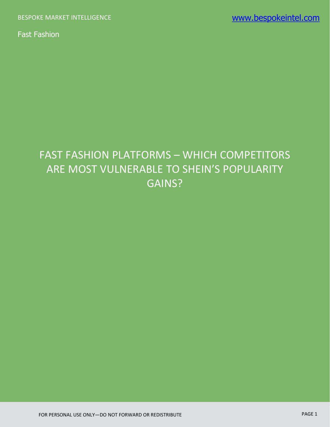# FAST FASHION PLATFORMS – WHICH COMPETITORS ARE MOST VULNERABLE TO SHEIN'S POPULARITY GAINS?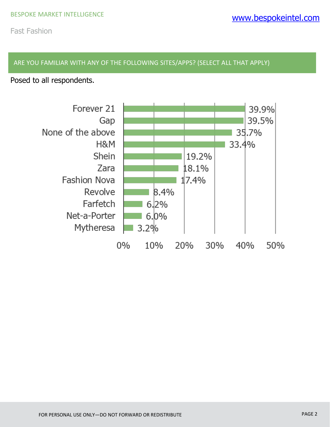#### ARE YOU FAMILIAR WITH ANY OF THE FOLLOWING SITES/APPS? (SELECT ALL THAT APPLY)

Posed to all respondents.

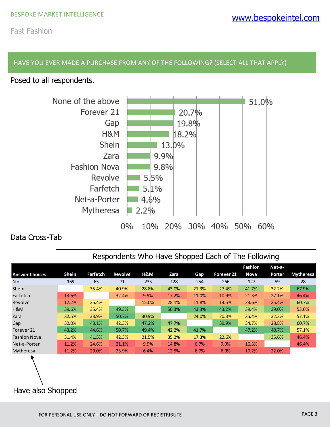#### HAVE YOU EVER MADE A PURCHASE FROM ANY OF THE FOLLOWING? (SELECT ALL THAT APPLY)

Posed to all respondents.



### Data Cross-Tab

|                       | Respondents Who Have Shopped Each of The Following |                 |         |       |       |       |                       |         |        |                  |
|-----------------------|----------------------------------------------------|-----------------|---------|-------|-------|-------|-----------------------|---------|--------|------------------|
|                       |                                                    |                 |         |       |       |       |                       | Fashion | Net-a- |                  |
| <b>Answer Choices</b> | Shein                                              | <b>Farfetch</b> | Revolve | H&M   | Zara  | Gap   | Forever <sub>21</sub> | Nova    | Porter | <b>Mytheresa</b> |
| $N =$                 | 169                                                | 65              | 71      | 233   | 128   | 254   | 266                   | 127     | 59     | 28               |
| Shein                 |                                                    | 35.4%           | 40.9%   | 28.8% | 43.0% | 21.3% | 27.4%                 | 41.7%   | 32.2%  | 67.9%            |
| Farfetch              | 13.6%                                              |                 | 32.4%   | 9.9%  | 17.2% | 11.0% | 10.9%                 | 21.3%   | 27.1%  | 46.4%            |
| Revolve               | 17.2%                                              | 35.4%           |         | 15.0% | 28.1% | 11.8% | 13.5%                 | 23.6%   | 25.4%  | 60.7%            |
| H&M                   | 39.6%                                              | 35.4%           | 49.3%   |       | 56.3% | 43.3% | 43.2%                 | 39.4%   | 39.0%  | 53.6%            |
| Zara                  | 32.5%                                              | 33.9%           | 50.7%   | 30.9% |       | 24.0% | 20.3%                 | 35.4%   | 32.2%  | 57.1%            |
| Gap                   | 32.0%                                              | 43.1%           | 42.3%   | 47.2% | 47.7% |       | 39.9%                 | 34.7%   | 28.8%  | 60.7%            |
| Forever <sub>21</sub> | 43.2%                                              | 44.6%           | 50.7%   | 49.4% | 42.2% | 41.7% |                       | 47.2%   | 40.7%  | 57.1%            |
| <b>Fashion Nova</b>   | 31.4%                                              | 41.5%           | 42.3%   | 21.5% | 35.2% | 17.3% | 22.6%                 |         | 35.6%  | 46.4%            |
| Net-a-Porter          | 11.2%                                              | 24.6%           | 21.1%   | 9.9%  | 14.8% | 6.7%  | 9.0%                  | 16.5%   |        | 46.4%            |
| Mytheresa             | 11.2%                                              | 20.0%           | 23.9%   | 6.4%  | 12.5% | 6.7%  | 6.0%                  | 10.2%   | 22.0%  |                  |
|                       |                                                    |                 |         |       |       |       |                       |         |        |                  |
| Have also Shopped     |                                                    |                 |         |       |       |       |                       |         |        |                  |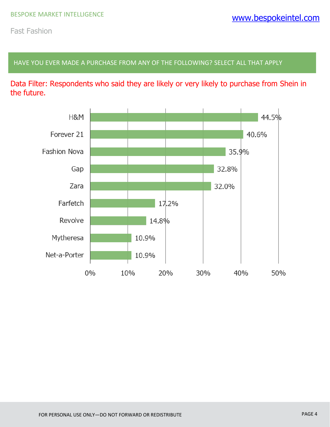HAVE YOU EVER MADE A PURCHASE FROM ANY OF THE FOLLOWING? SELECT ALL THAT APPLY

Data Filter: Respondents who said they are likely or very likely to purchase from Shein in the future.

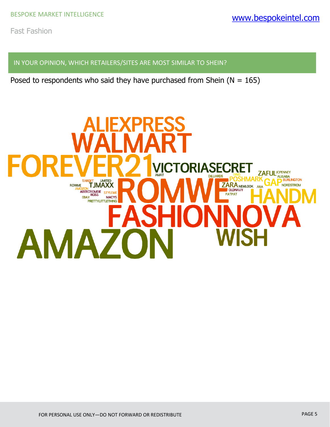IN YOUR OPINION, WHICH RETAILERS/SITES ARE MOST SIMILAR TO SHEIN?

Posed to respondents who said they have purchased from Shein ( $N = 165$ )

## **ICTORIASECRE ZAFUL**JCPENNEY **ALIBABA**<br>**BURLINGTON TARGET LIMITED**<br>DZON **TJMAXX ZARA NEWLOOK ARA ROWME NORDSTROM** AMOZON TRANSPORT ABERCROMBIE STYLEWERER<br>
EBAY MACYS PATPAT **PRETTYLITTLETHING** AMA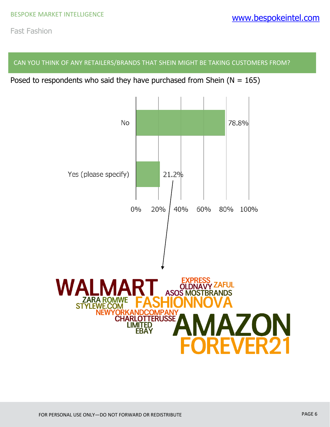CAN YOU THINK OF ANY RETAILERS/BRANDS THAT SHEIN MIGHT BE TAKING CUSTOMERS FROM?

Posed to respondents who said they have purchased from Shein ( $N = 165$ )

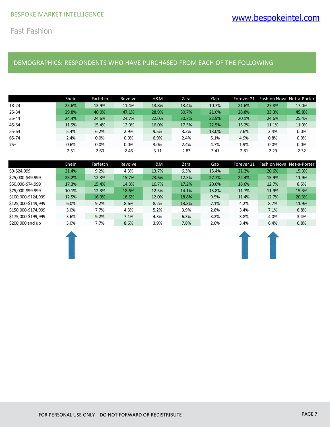#### DEMOGRAPHICS: RESPONDENTS WHO HAVE PURCHASED FROM EACH OF THE FOLLOWING

|           | Shein | Farfetch | Revolve | H&M   | Zara  | Gap   | Forever 21 |       | Fashion Nova Net-a-Porter |
|-----------|-------|----------|---------|-------|-------|-------|------------|-------|---------------------------|
| 18-24     | 25.6% | 13.9%    | 11.4%   | 13.8% | 13.4% | 10.7% | 21.6%      | 27.8% | 17.0%                     |
| $25 - 34$ | 29.8% | 40.0%    | 47.1%   | 28.9% | 30.7% | 21.0% | 28.8%      | 33.3% | 45.8%                     |
| $35 - 44$ | 24.4% | 24.6%    | 24.7%   | 22.0% | 30.7% | 22.9% | 20.1%      | 24.6% | 25.4%                     |
| 45-54     | 11.9% | 15.4%    | 12.9%   | 16.0% | 17.3% | 22.5% | 15.2%      | 11.1% | 11.9%                     |
| 55-64     | 5.4%  | 6.2%     | 2.9%    | 9.5%  | 3.2%  | 13.0% | 7.6%       | 2.4%  | 0.0%                      |
| 65-74     | 2.4%  | 0.0%     | 0.0%    | 6.9%  | 2.4%  | 5.1%  | 4.9%       | 0.8%  | 0.0%                      |
| $75+$     | 0.6%  | 0.0%     | 0.0%    | 3.0%  | 2.4%  | 4.7%  | 1.9%       | 0.0%  | 0.0%                      |
|           | 2.51  | 2.60     | 2.46    | 3.11  | 2.83  | 3.41  | 2.81       | 2.29  | 2.32                      |

|                     | Shein | Farfetch | Revolve | H&M   | Zara  | Gap   | Forever <sub>21</sub> | Fashion Nova Net-a-Porter |       |
|---------------------|-------|----------|---------|-------|-------|-------|-----------------------|---------------------------|-------|
| \$0-\$24,999        | 21.4% | 9.2%     | 4.3%    | 13.7% | 6.3%  | 13.4% | 21.2%                 | 20.6%                     | 15.3% |
| \$25,000-\$49,999   | 23.2% | 12.3%    | 15.7%   | 23.6% | 12.5% | 27.7% | 22.4%                 | 15.9%                     | 11.9% |
| \$50,000-\$74,999   | 17.3% | 15.4%    | 14.3%   | 16.7% | 17.2% | 20.6% | 18.6%                 | 12.7%                     | 8.5%  |
| \$75,000-\$99,999   | 10.1% | 12.3%    | 18.6%   | 12.5% | 14.1% | 13.8% | 11.7%                 | 11.9%                     | 15.3% |
| \$100,000-\$124,999 | 12.5% | 16.9%    | 18.6%   | 12.0% | 18.8% | 9.5%  | 11.4%                 | 12.7%                     | 20.3% |
| \$125,000-\$149,999 | 6.0%  | 9.2%     | 8.6%    | 8.2%  | 13.3% | 7.1%  | 4.2%                  | 8.7%                      | 11.9% |
| \$150,000-\$174,999 | 3.0%  | 7.7%     | 4.3%    | 5.2%  | 3.9%  | 2.8%  | 3.4%                  | 7.1%                      | 6.8%  |
| \$175,000-\$199,999 | 3.6%  | 9.2%     | 7.1%    | 4.3%  | 6.3%  | 3.2%  | 3.8%                  | 4.0%                      | 3.4%  |
| \$200,000 and up    | 3.0%  | 7.7%     | 8.6%    | 3.9%  | 7.8%  | 2.0%  | 3.4%                  | 6.4%                      | 6.8%  |



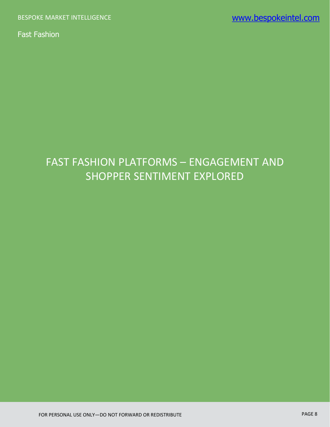## FAST FASHION PLATFORMS – ENGAGEMENT AND SHOPPER SENTIMENT EXPLORED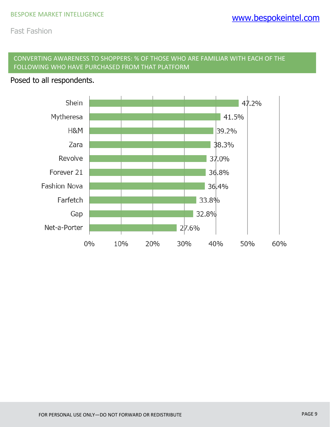#### CONVERTING AWARENESS TO SHOPPERS: % OF THOSE WHO ARE FAMILIAR WITH EACH OF THE FOLLOWING WHO HAVE PURCHASED FROM THAT PLATFORM

#### Posed to all respondents.

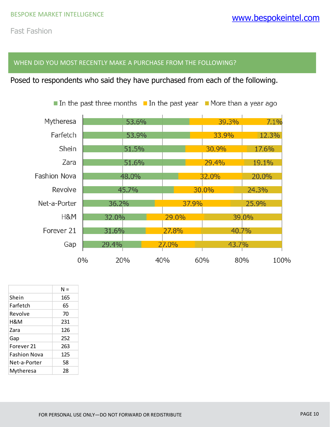#### WHEN DID YOU MOST RECENTLY MAKE A PURCHASE FROM THE FOLLOWING?

Posed to respondents who said they have purchased from each of the following.

|                     |       |       |       | In the past three months II In the past year IM ore than a year ago |       |
|---------------------|-------|-------|-------|---------------------------------------------------------------------|-------|
| Mytheresa           |       | 53.6% |       | 39.3%                                                               | 7.1%  |
| Farfetch            |       | 53.9% |       | 33.9%                                                               | 12.3% |
| Shein               |       | 51.5% |       | 30.9%                                                               | 17.6% |
| Zara                |       | 51.6% |       | 29.4%                                                               | 19.1% |
| <b>Fashion Nova</b> |       | 48.0% |       | 32.0%                                                               | 20.0% |
| Revolve             |       | 45.7% |       | 30.0%                                                               | 24.3% |
| Net-a-Porter        | 36.2% |       | 37.9% |                                                                     | 25.9% |
| H&M                 | 32.0% |       | 29.0% |                                                                     | 39.0% |
| Forever 21          | 31.6% |       | 27.8% | 40.7%                                                               |       |
| Gap                 | 29.4% |       | 27.0% | 43.7%                                                               |       |
|                     | $0\%$ | 20%   | 40%   | 60%<br>80%                                                          | 100%  |

|              | $N =$ |
|--------------|-------|
| Shein        | 165   |
| Farfetch     | 65    |
| Revolve      | 70    |
| H&M          | 231   |
| Zara         | 126   |
| Gap          | 252   |
| Forever 21   | 263   |
| Fashion Nova | 125   |
| Net-a-Porter | 58    |
| Mytheresa    | 28    |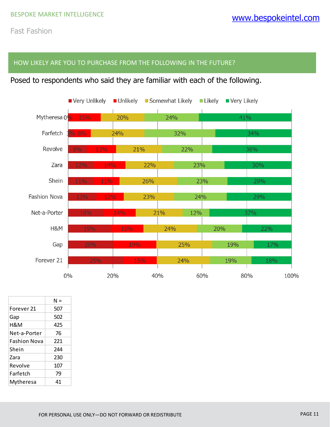#### HOW LIKELY ARE YOU TO PURCHASE FROM THE FOLLOWING IN THE FUTURE?

### Posed to respondents who said they are familiar with each of the following.



|              | $N =$ |
|--------------|-------|
| Forever 21   | 507   |
| Gap          | 502   |
| H&M          | 425   |
| Net-a-Porter | 76    |
| Fashion Nova | 221   |
| Shein        | 244   |
| Zara         | 230   |
| Revolve      | 107   |
| Farfetch     | 79    |
| Mytheresa    | 41    |